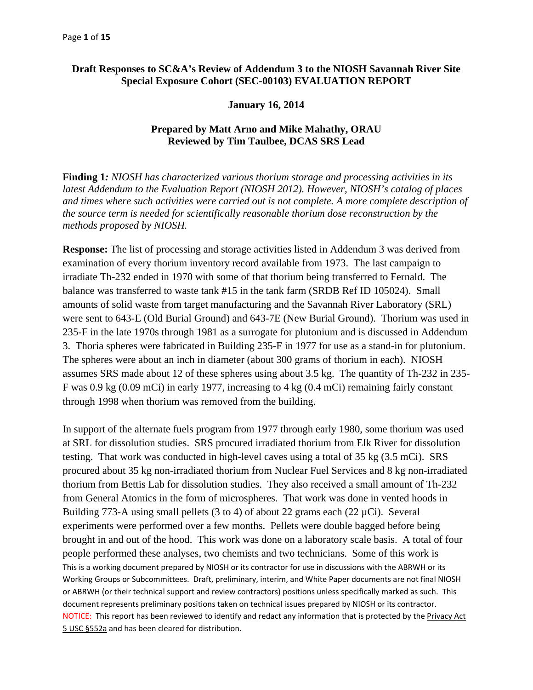## Draft Responses to SC&A's Review of Addendum 3 to the NIOSH Savannah River Site **Special Exposure Cohort (SEC-00103) EVALUATION REPORT**

#### **January 16, 2014**

### **Prepared by Matt Arno and Mike Mahathy, ORAU Reviewed by Tim Taulbee, DCAS SRS Lead**

**Finding 1***: NIOSH has characterized various thorium storage and processing activities in its latest Addendum to the Evaluation Report (NIOSH 2012). However, NIOSH's catalog of places and times where such activities were carried out is not complete. A more complete description of the source term is needed for scientifically reasonable thorium dose reconstruction by the methods proposed by NIOSH.* 

**Response:** The list of processing and storage activities listed in Addendum 3 was derived from examination of every thorium inventory record available from 1973. The last campaign to irradiate Th-232 ended in 1970 with some of that thorium being transferred to Fernald. The balance was transferred to waste tank #15 in the tank farm (SRDB Ref ID 105024). Small amounts of solid waste from target manufacturing and the Savannah River Laboratory (SRL) were sent to 643-E (Old Burial Ground) and 643-7E (New Burial Ground). Thorium was used in 235-F in the late 1970s through 1981 as a surrogate for plutonium and is discussed in Addendum 3. Thoria spheres were fabricated in Building 235-F in 1977 for use as a stand-in for plutonium. The spheres were about an inch in diameter (about 300 grams of thorium in each). NIOSH assumes SRS made about 12 of these spheres using about 3.5 kg. The quantity of Th-232 in 235 F was 0.9 kg (0.09 mCi) in early 1977, increasing to 4 kg (0.4 mCi) remaining fairly constant through 1998 when thorium was removed from the building.

NOTICE: This report has been reviewed to identify and redact any information that is protected by the Privacy Act 5 USC §552a and has been cleared for distribution. This is a working document prepared by NIOSH or its contractor for use in discussions with the ABRWH or its Working Groups or Subcommittees. Draft, preliminary, interim, and White Paper documents are not final NIOSH or ABRWH (or their technical support and review contractors) positions unless specifically marked as such. This document represents preliminary positions taken on technical issues prepared by NIOSH or its contractor. In support of the alternate fuels program from 1977 through early 1980, some thorium was used at SRL for dissolution studies. SRS procured irradiated thorium from Elk River for dissolution testing. That work was conducted in high-level caves using a total of 35 kg (3.5 mCi). SRS procured about 35 kg non-irradiated thorium from Nuclear Fuel Services and 8 kg non-irradiated thorium from Bettis Lab for dissolution studies. They also received a small amount of Th-232 from General Atomics in the form of microspheres. That work was done in vented hoods in Building 773-A using small pellets  $(3 \text{ to } 4)$  of about 22 grams each  $(22 \mu\text{Ci})$ . Several experiments were performed over a few months. Pellets were double bagged before being brought in and out of the hood. This work was done on a laboratory scale basis. A total of four people performed these analyses, two chemists and two technicians. Some of this work is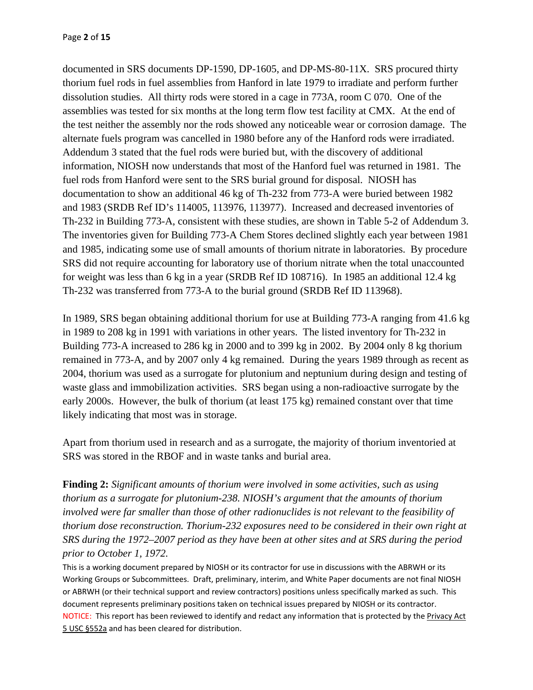documented in SRS documents DP-1590, DP-1605, and DP-MS-80-11X. SRS procured thirty thorium fuel rods in fuel assemblies from Hanford in late 1979 to irradiate and perform further dissolution studies. All thirty rods were stored in a cage in 773A, room C 070. One of the assemblies was tested for six months at the long term flow test facility at CMX. At the end of the test neither the assembly nor the rods showed any noticeable wear or corrosion damage. The alternate fuels program was cancelled in 1980 before any of the Hanford rods were irradiated. Addendum 3 stated that the fuel rods were buried but, with the discovery of additional information, NIOSH now understands that most of the Hanford fuel was returned in 1981. The fuel rods from Hanford were sent to the SRS burial ground for disposal. NIOSH has documentation to show an additional 46 kg of Th-232 from 773-A were buried between 1982 and 1983 (SRDB Ref ID's 114005, 113976, 113977). Increased and decreased inventories of Th-232 in Building 773-A, consistent with these studies, are shown in Table 5-2 of Addendum 3. The inventories given for Building 773-A Chem Stores declined slightly each year between 1981 and 1985, indicating some use of small amounts of thorium nitrate in laboratories. By procedure SRS did not require accounting for laboratory use of thorium nitrate when the total unaccounted for weight was less than 6 kg in a year (SRDB Ref ID 108716). In 1985 an additional 12.4 kg Th-232 was transferred from 773-A to the burial ground (SRDB Ref ID 113968).

In 1989, SRS began obtaining additional thorium for use at Building 773-A ranging from 41.6 kg in 1989 to 208 kg in 1991 with variations in other years. The listed inventory for Th-232 in Building 773-A increased to 286 kg in 2000 and to 399 kg in 2002. By 2004 only 8 kg thorium remained in 773-A, and by 2007 only 4 kg remained. During the years 1989 through as recent as 2004, thorium was used as a surrogate for plutonium and neptunium during design and testing of waste glass and immobilization activities. SRS began using a non-radioactive surrogate by the early 2000s. However, the bulk of thorium (at least 175 kg) remained constant over that time likely indicating that most was in storage.

Apart from thorium used in research and as a surrogate, the majority of thorium inventoried at SRS was stored in the RBOF and in waste tanks and burial area.

**Finding 2:** *Significant amounts of thorium were involved in some activities, such as using thorium as a surrogate for plutonium-238. NIOSH's argument that the amounts of thorium involved were far smaller than those of other radionuclides is not relevant to the feasibility of thorium dose reconstruction. Thorium-232 exposures need to be considered in their own right at SRS during the 1972–2007 period as they have been at other sites and at SRS during the period prior to October 1, 1972.*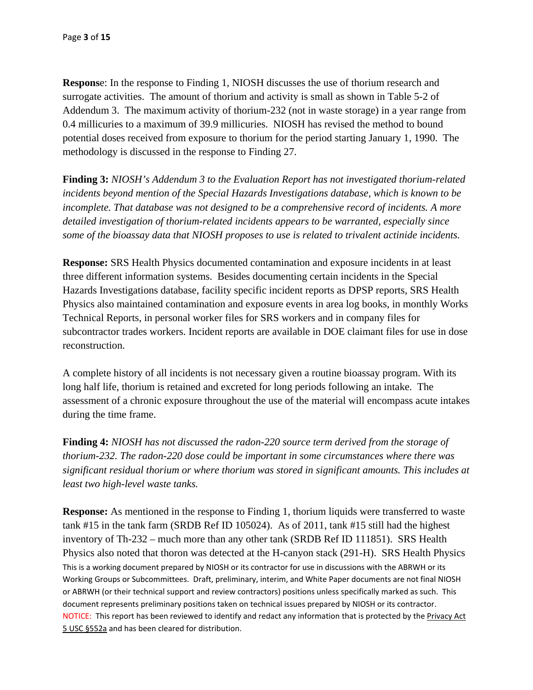**Respons**e: In the response to Finding 1, NIOSH discusses the use of thorium research and surrogate activities. The amount of thorium and activity is small as shown in Table 5-2 of Addendum 3. The maximum activity of thorium-232 (not in waste storage) in a year range from 0.4 millicuries to a maximum of 39.9 millicuries. NIOSH has revised the method to bound potential doses received from exposure to thorium for the period starting January 1, 1990. The methodology is discussed in the response to Finding 27.

**Finding 3:** *NIOSH's Addendum 3 to the Evaluation Report has not investigated thorium-related incidents beyond mention of the Special Hazards Investigations database, which is known to be incomplete. That database was not designed to be a comprehensive record of incidents. A more detailed investigation of thorium-related incidents appears to be warranted, especially since some of the bioassay data that NIOSH proposes to use is related to trivalent actinide incidents.* 

**Response:** SRS Health Physics documented contamination and exposure incidents in at least three different information systems. Besides documenting certain incidents in the Special Hazards Investigations database, facility specific incident reports as DPSP reports, SRS Health Physics also maintained contamination and exposure events in area log books, in monthly Works Technical Reports, in personal worker files for SRS workers and in company files for subcontractor trades workers. Incident reports are available in DOE claimant files for use in dose reconstruction.

A complete history of all incidents is not necessary given a routine bioassay program. With its long half life, thorium is retained and excreted for long periods following an intake. The assessment of a chronic exposure throughout the use of the material will encompass acute intakes during the time frame.

**Finding 4:** *NIOSH has not discussed the radon-220 source term derived from the storage of thorium-232. The radon-220 dose could be important in some circumstances where there was significant residual thorium or where thorium was stored in significant amounts. This includes at least two high-level waste tanks.* 

 This is a working document prepared by NIOSH or its contractor for use in discussions with the ABRWH or its Working Groups or Subcommittees. Draft, preliminary, interim, and White Paper documents are not final NIOSH or ABRWH (or their technical support and review contractors) positions unless specifically marked as such. This document represents preliminary positions taken on technical issues prepared by NIOSH or its contractor. NOTICE: This report has been reviewed to identify and redact any information that is protected by the Privacy Act 5 USC §552a and has been cleared for distribution. **Response:** As mentioned in the response to Finding 1, thorium liquids were transferred to waste tank #15 in the tank farm (SRDB Ref ID 105024). As of 2011, tank #15 still had the highest inventory of Th-232 – much more than any other tank (SRDB Ref ID 111851). SRS Health Physics also noted that thoron was detected at the H-canyon stack (291-H). SRS Health Physics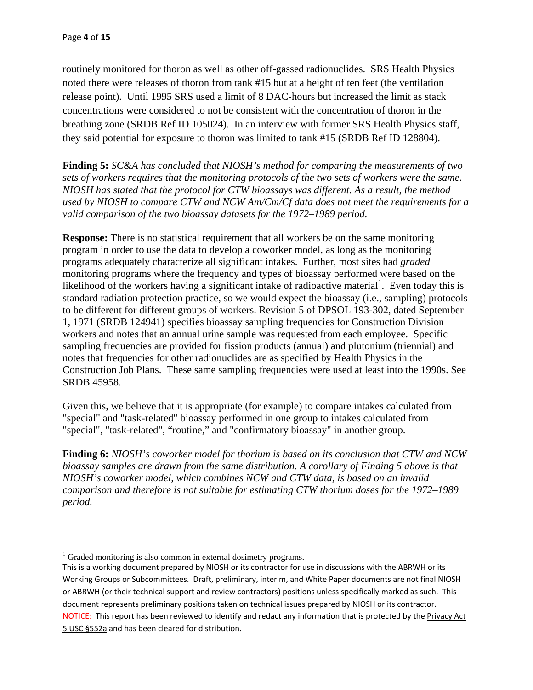routinely monitored for thoron as well as other off-gassed radionuclides. SRS Health Physics noted there were releases of thoron from tank #15 but at a height of ten feet (the ventilation release point). Until 1995 SRS used a limit of 8 DAC-hours but increased the limit as stack concentrations were considered to not be consistent with the concentration of thoron in the breathing zone (SRDB Ref ID 105024). In an interview with former SRS Health Physics staff, they said potential for exposure to thoron was limited to tank #15 (SRDB Ref ID 128804).

**Finding 5:** *SC&A has concluded that NIOSH's method for comparing the measurements of two sets of workers requires that the monitoring protocols of the two sets of workers were the same. NIOSH has stated that the protocol for CTW bioassays was different. As a result, the method used by NIOSH to compare CTW and NCW Am/Cm/Cf data does not meet the requirements for a valid comparison of the two bioassay datasets for the 1972–1989 period.* 

**Response:** There is no statistical requirement that all workers be on the same monitoring program in order to use the data to develop a coworker model, as long as the monitoring programs adequately characterize all significant intakes. Further, most sites had *graded*  monitoring programs where the frequency and types of bioassay performed were based on the likelihood of the workers having a significant intake of radioactive material<sup>1</sup>. Even today this is standard radiation protection practice, so we would expect the bioassay (i.e., sampling) protocols to be different for different groups of workers. Revision 5 of DPSOL 193-302, dated September 1, 1971 (SRDB 124941) specifies bioassay sampling frequencies for Construction Division workers and notes that an annual urine sample was requested from each employee. Specific sampling frequencies are provided for fission products (annual) and plutonium (triennial) and notes that frequencies for other radionuclides are as specified by Health Physics in the Construction Job Plans. These same sampling frequencies were used at least into the 1990s. See SRDB 45958.

Given this, we believe that it is appropriate (for example) to compare intakes calculated from "special" and "task-related" bioassay performed in one group to intakes calculated from "special", "task-related", "routine," and "confirmatory bioassay" in another group.

**Finding 6:** *NIOSH's coworker model for thorium is based on its conclusion that CTW and NCW bioassay samples are drawn from the same distribution. A corollary of Finding 5 above is that NIOSH's coworker model, which combines NCW and CTW data, is based on an invalid comparison and therefore is not suitable for estimating CTW thorium doses for the 1972–1989 period.* 

  $1$  Graded monitoring is also common in external dosimetry programs.

 This is a working document prepared by NIOSH or its contractor for use in discussions with the ABRWH or its Working Groups or Subcommittees. Draft, preliminary, interim, and White Paper documents are not final NIOSH or ABRWH (or their technical support and review contractors) positions unless specifically marked as such. This document represents preliminary positions taken on technical issues prepared by NIOSH or its contractor.NOTICE: This report has been reviewed to identify and redact any information that is protected by the Privacy Act 5 USC §552a and has been cleared for distribution.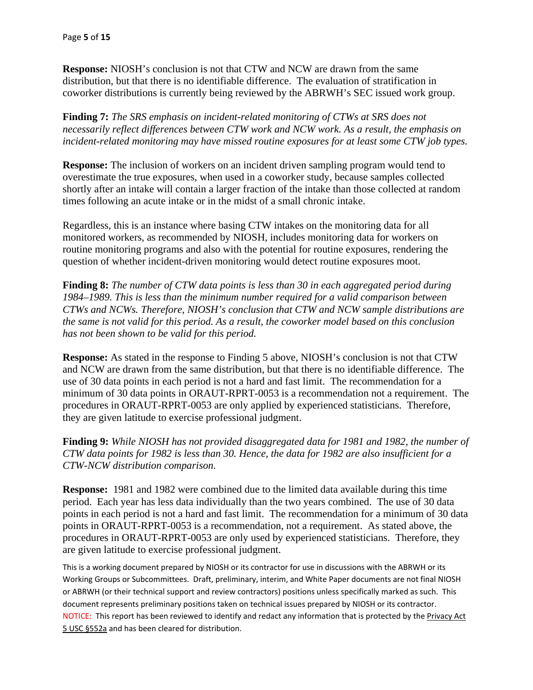**Response:** NIOSH's conclusion is not that CTW and NCW are drawn from the same distribution, but that there is no identifiable difference. The evaluation of stratification in coworker distributions is currently being reviewed by the ABRWH's SEC issued work group.

**Finding 7:** *The SRS emphasis on incident-related monitoring of CTWs at SRS does not necessarily reflect differences between CTW work and NCW work. As a result, the emphasis on incident-related monitoring may have missed routine exposures for at least some CTW job types.* 

**Response:** The inclusion of workers on an incident driven sampling program would tend to overestimate the true exposures, when used in a coworker study, because samples collected shortly after an intake will contain a larger fraction of the intake than those collected at random times following an acute intake or in the midst of a small chronic intake.

Regardless, this is an instance where basing CTW intakes on the monitoring data for all monitored workers, as recommended by NIOSH, includes monitoring data for workers on routine monitoring programs and also with the potential for routine exposures, rendering the question of whether incident-driven monitoring would detect routine exposures moot.

**Finding 8:** *The number of CTW data points is less than 30 in each aggregated period during 1984–1989. This is less than the minimum number required for a valid comparison between CTWs and NCWs. Therefore, NIOSH's conclusion that CTW and NCW sample distributions are the same is not valid for this period. As a result, the coworker model based on this conclusion has not been shown to be valid for this period.* 

**Response:** As stated in the response to Finding 5 above, NIOSH's conclusion is not that CTW and NCW are drawn from the same distribution, but that there is no identifiable difference. The use of 30 data points in each period is not a hard and fast limit. The recommendation for a minimum of 30 data points in ORAUT-RPRT-0053 is a recommendation not a requirement. The procedures in ORAUT-RPRT-0053 are only applied by experienced statisticians. Therefore, they are given latitude to exercise professional judgment.

**Finding 9:** *While NIOSH has not provided disaggregated data for 1981 and 1982, the number of CTW data points for 1982 is less than 30. Hence, the data for 1982 are also insufficient for a CTW-NCW distribution comparison.* 

**Response:** 1981 and 1982 were combined due to the limited data available during this time period. Each year has less data individually than the two years combined. The use of 30 data points in each period is not a hard and fast limit. The recommendation for a minimum of 30 data points in ORAUT-RPRT-0053 is a recommendation, not a requirement. As stated above, the procedures in ORAUT-RPRT-0053 are only used by experienced statisticians. Therefore, they are given latitude to exercise professional judgment.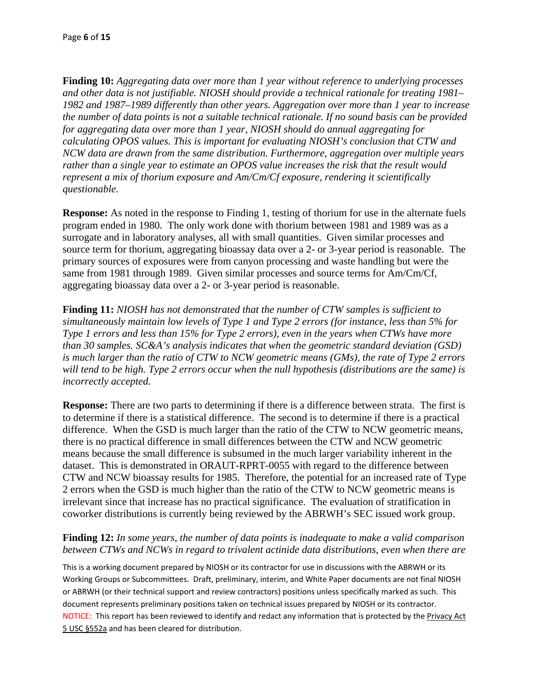**Finding 10:** *Aggregating data over more than 1 year without reference to underlying processes and other data is not justifiable. NIOSH should provide a technical rationale for treating 1981– 1982 and 1987–1989 differently than other years. Aggregation over more than 1 year to increase the number of data points is not a suitable technical rationale. If no sound basis can be provided for aggregating data over more than 1 year, NIOSH should do annual aggregating for calculating OPOS values. This is important for evaluating NIOSH's conclusion that CTW and NCW data are drawn from the same distribution. Furthermore, aggregation over multiple years rather than a single year to estimate an OPOS value increases the risk that the result would represent a mix of thorium exposure and Am/Cm/Cf exposure, rendering it scientifically questionable.* 

**Response:** As noted in the response to Finding 1, testing of thorium for use in the alternate fuels program ended in 1980. The only work done with thorium between 1981 and 1989 was as a surrogate and in laboratory analyses, all with small quantities. Given similar processes and source term for thorium, aggregating bioassay data over a 2- or 3-year period is reasonable. The primary sources of exposures were from canyon processing and waste handling but were the same from 1981 through 1989. Given similar processes and source terms for Am/Cm/Cf, aggregating bioassay data over a 2- or 3-year period is reasonable.

**Finding 11:** *NIOSH has not demonstrated that the number of CTW samples is sufficient to simultaneously maintain low levels of Type 1 and Type 2 errors (for instance, less than 5% for Type 1 errors and less than 15% for Type 2 errors), even in the years when CTWs have more than 30 samples. SC&A's analysis indicates that when the geometric standard deviation (GSD) is much larger than the ratio of CTW to NCW geometric means (GMs), the rate of Type 2 errors will tend to be high. Type 2 errors occur when the null hypothesis (distributions are the same) is incorrectly accepted.* 

**Response:** There are two parts to determining if there is a difference between strata. The first is to determine if there is a statistical difference. The second is to determine if there is a practical difference. When the GSD is much larger than the ratio of the CTW to NCW geometric means, there is no practical difference in small differences between the CTW and NCW geometric means because the small difference is subsumed in the much larger variability inherent in the dataset. This is demonstrated in ORAUT-RPRT-0055 with regard to the difference between CTW and NCW bioassay results for 1985. Therefore, the potential for an increased rate of Type 2 errors when the GSD is much higher than the ratio of the CTW to NCW geometric means is irrelevant since that increase has no practical significance. The evaluation of stratification in coworker distributions is currently being reviewed by the ABRWH's SEC issued work group.

### **Finding 12:** *In some years, the number of data points is inadequate to make a valid comparison between CTWs and NCWs in regard to trivalent actinide data distributions, even when there are*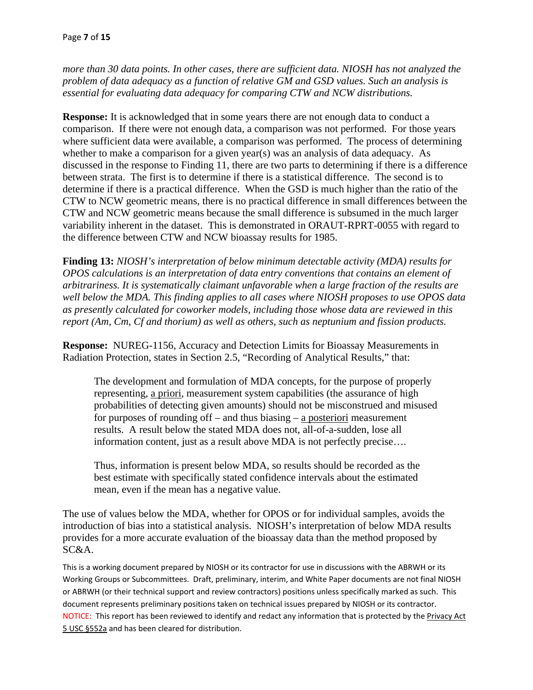*more than 30 data points. In other cases, there are sufficient data. NIOSH has not analyzed the problem of data adequacy as a function of relative GM and GSD values. Such an analysis is essential for evaluating data adequacy for comparing CTW and NCW distributions.* 

**Response:** It is acknowledged that in some years there are not enough data to conduct a comparison. If there were not enough data, a comparison was not performed. For those years where sufficient data were available, a comparison was performed. The process of determining whether to make a comparison for a given year(s) was an analysis of data adequacy. As discussed in the response to Finding 11, there are two parts to determining if there is a difference between strata. The first is to determine if there is a statistical difference. The second is to determine if there is a practical difference. When the GSD is much higher than the ratio of the CTW to NCW geometric means, there is no practical difference in small differences between the CTW and NCW geometric means because the small difference is subsumed in the much larger variability inherent in the dataset. This is demonstrated in ORAUT-RPRT-0055 with regard to the difference between CTW and NCW bioassay results for 1985.

**Finding 13:** *NIOSH's interpretation of below minimum detectable activity (MDA) results for OPOS calculations is an interpretation of data entry conventions that contains an element of arbitrariness. It is systematically claimant unfavorable when a large fraction of the results are well below the MDA. This finding applies to all cases where NIOSH proposes to use OPOS data as presently calculated for coworker models, including those whose data are reviewed in this report (Am, Cm, Cf and thorium) as well as others, such as neptunium and fission products.* 

**Response:** NUREG-1156, Accuracy and Detection Limits for Bioassay Measurements in Radiation Protection, states in Section 2.5, "Recording of Analytical Results," that:

The development and formulation of MDA concepts, for the purpose of properly representing, a priori, measurement system capabilities (the assurance of high probabilities of detecting given amounts) should not be misconstrued and misused for purposes of rounding off – and thus biasing – a posteriori measurement results. A result below the stated MDA does not, all-of-a-sudden, lose all information content, just as a result above MDA is not perfectly precise….

Thus, information is present below MDA, so results should be recorded as the best estimate with specifically stated confidence intervals about the estimated mean, even if the mean has a negative value.

The use of values below the MDA, whether for OPOS or for individual samples, avoids the introduction of bias into a statistical analysis. NIOSH's interpretation of below MDA results provides for a more accurate evaluation of the bioassay data than the method proposed by SC&A.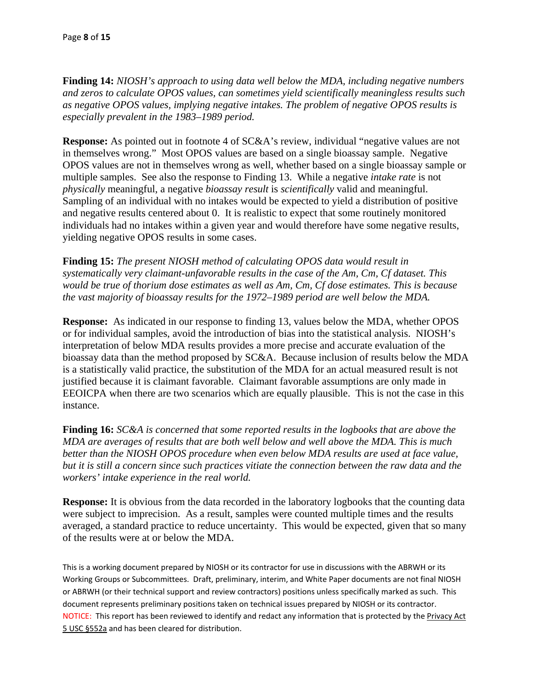**Finding 14:** *NIOSH's approach to using data well below the MDA, including negative numbers and zeros to calculate OPOS values, can sometimes yield scientifically meaningless results such as negative OPOS values, implying negative intakes. The problem of negative OPOS results is especially prevalent in the 1983–1989 period.* 

**Response:** As pointed out in footnote 4 of SC&A's review, individual "negative values are not in themselves wrong." Most OPOS values are based on a single bioassay sample. Negative OPOS values are not in themselves wrong as well, whether based on a single bioassay sample or multiple samples. See also the response to Finding 13. While a negative *intake rate* is not *physically* meaningful, a negative *bioassay result* is *scientifically* valid and meaningful. Sampling of an individual with no intakes would be expected to yield a distribution of positive and negative results centered about 0. It is realistic to expect that some routinely monitored individuals had no intakes within a given year and would therefore have some negative results, yielding negative OPOS results in some cases.

**Finding 15:** *The present NIOSH method of calculating OPOS data would result in systematically very claimant-unfavorable results in the case of the Am, Cm, Cf dataset. This would be true of thorium dose estimates as well as Am, Cm, Cf dose estimates. This is because the vast majority of bioassay results for the 1972–1989 period are well below the MDA.* 

**Response:** As indicated in our response to finding 13, values below the MDA, whether OPOS or for individual samples, avoid the introduction of bias into the statistical analysis. NIOSH's interpretation of below MDA results provides a more precise and accurate evaluation of the bioassay data than the method proposed by SC&A. Because inclusion of results below the MDA is a statistically valid practice, the substitution of the MDA for an actual measured result is not justified because it is claimant favorable. Claimant favorable assumptions are only made in EEOICPA when there are two scenarios which are equally plausible. This is not the case in this instance.

**Finding 16:** *SC&A is concerned that some reported results in the logbooks that are above the MDA are averages of results that are both well below and well above the MDA. This is much better than the NIOSH OPOS procedure when even below MDA results are used at face value, but it is still a concern since such practices vitiate the connection between the raw data and the workers' intake experience in the real world.* 

**Response:** It is obvious from the data recorded in the laboratory logbooks that the counting data were subject to imprecision. As a result, samples were counted multiple times and the results averaged, a standard practice to reduce uncertainty. This would be expected, given that so many of the results were at or below the MDA.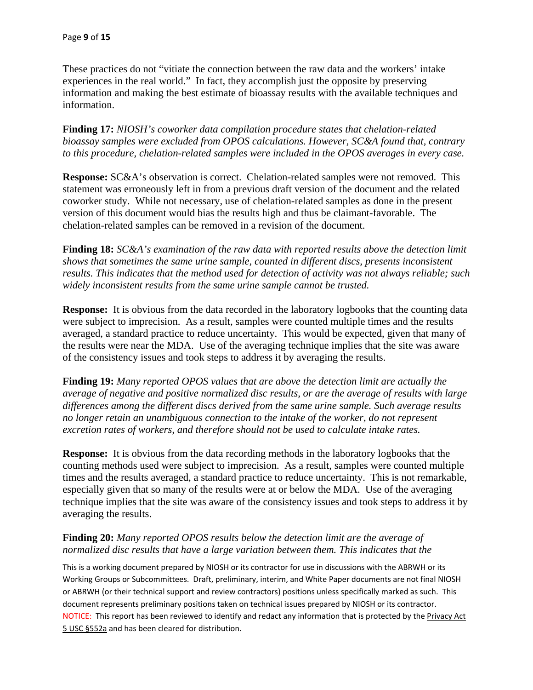These practices do not "vitiate the connection between the raw data and the workers' intake experiences in the real world." In fact, they accomplish just the opposite by preserving information and making the best estimate of bioassay results with the available techniques and information.

**Finding 17:** *NIOSH's coworker data compilation procedure states that chelation-related bioassay samples were excluded from OPOS calculations. However, SC&A found that, contrary to this procedure, chelation-related samples were included in the OPOS averages in every case.* 

**Response:** SC&A's observation is correct. Chelation-related samples were not removed. This statement was erroneously left in from a previous draft version of the document and the related coworker study. While not necessary, use of chelation-related samples as done in the present version of this document would bias the results high and thus be claimant-favorable. The chelation-related samples can be removed in a revision of the document.

**Finding 18:** *SC&A's examination of the raw data with reported results above the detection limit shows that sometimes the same urine sample, counted in different discs, presents inconsistent results. This indicates that the method used for detection of activity was not always reliable; such widely inconsistent results from the same urine sample cannot be trusted.* 

**Response:** It is obvious from the data recorded in the laboratory logbooks that the counting data were subject to imprecision. As a result, samples were counted multiple times and the results averaged, a standard practice to reduce uncertainty. This would be expected, given that many of the results were near the MDA. Use of the averaging technique implies that the site was aware of the consistency issues and took steps to address it by averaging the results.

**Finding 19:** *Many reported OPOS values that are above the detection limit are actually the average of negative and positive normalized disc results, or are the average of results with large differences among the different discs derived from the same urine sample. Such average results no longer retain an unambiguous connection to the intake of the worker, do not represent excretion rates of workers, and therefore should not be used to calculate intake rates.* 

**Response:** It is obvious from the data recording methods in the laboratory logbooks that the counting methods used were subject to imprecision. As a result, samples were counted multiple times and the results averaged, a standard practice to reduce uncertainty. This is not remarkable, especially given that so many of the results were at or below the MDA. Use of the averaging technique implies that the site was aware of the consistency issues and took steps to address it by averaging the results.

# **Finding 20:** *Many reported OPOS results below the detection limit are the average of normalized disc results that have a large variation between them. This indicates that the*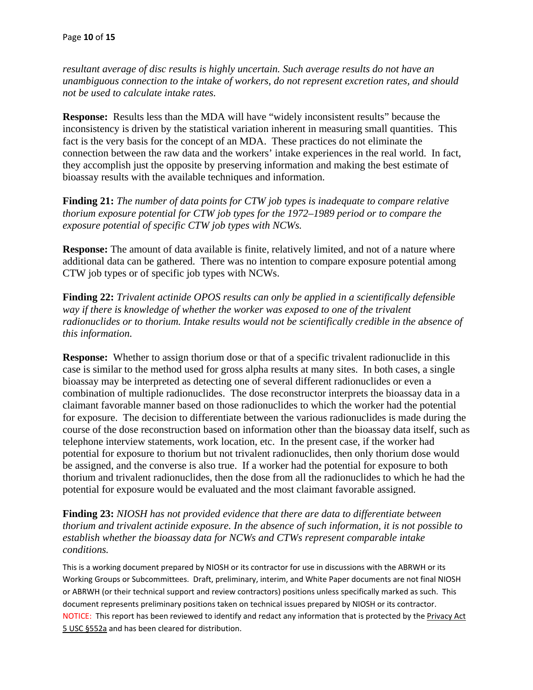*resultant average of disc results is highly uncertain. Such average results do not have an unambiguous connection to the intake of workers, do not represent excretion rates, and should not be used to calculate intake rates.* 

**Response:** Results less than the MDA will have "widely inconsistent results" because the inconsistency is driven by the statistical variation inherent in measuring small quantities. This fact is the very basis for the concept of an MDA. These practices do not eliminate the connection between the raw data and the workers' intake experiences in the real world. In fact, they accomplish just the opposite by preserving information and making the best estimate of bioassay results with the available techniques and information.

**Finding 21:** *The number of data points for CTW job types is inadequate to compare relative thorium exposure potential for CTW job types for the 1972–1989 period or to compare the exposure potential of specific CTW job types with NCWs.* 

**Response:** The amount of data available is finite, relatively limited, and not of a nature where additional data can be gathered. There was no intention to compare exposure potential among CTW job types or of specific job types with NCWs.

**Finding 22:** *Trivalent actinide OPOS results can only be applied in a scientifically defensible way if there is knowledge of whether the worker was exposed to one of the trivalent radionuclides or to thorium. Intake results would not be scientifically credible in the absence of this information.* 

**Response:** Whether to assign thorium dose or that of a specific trivalent radionuclide in this case is similar to the method used for gross alpha results at many sites. In both cases, a single bioassay may be interpreted as detecting one of several different radionuclides or even a combination of multiple radionuclides. The dose reconstructor interprets the bioassay data in a claimant favorable manner based on those radionuclides to which the worker had the potential for exposure. The decision to differentiate between the various radionuclides is made during the course of the dose reconstruction based on information other than the bioassay data itself, such as telephone interview statements, work location, etc. In the present case, if the worker had potential for exposure to thorium but not trivalent radionuclides, then only thorium dose would be assigned, and the converse is also true. If a worker had the potential for exposure to both thorium and trivalent radionuclides, then the dose from all the radionuclides to which he had the potential for exposure would be evaluated and the most claimant favorable assigned.

**Finding 23:** *NIOSH has not provided evidence that there are data to differentiate between thorium and trivalent actinide exposure. In the absence of such information, it is not possible to establish whether the bioassay data for NCWs and CTWs represent comparable intake conditions.*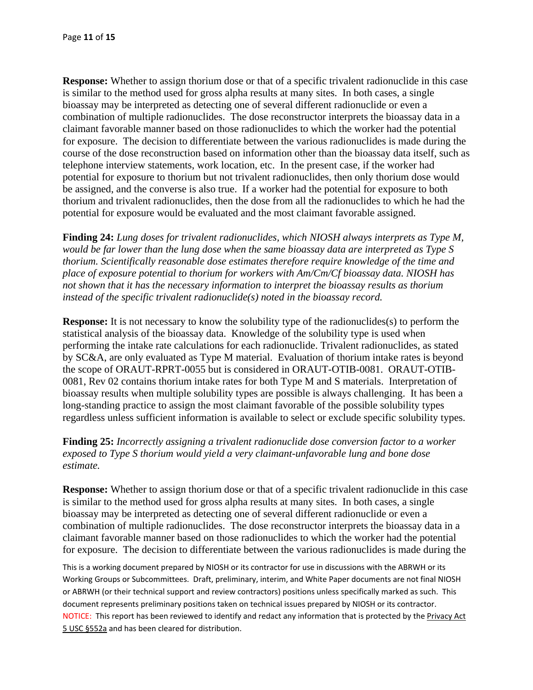**Response:** Whether to assign thorium dose or that of a specific trivalent radionuclide in this case is similar to the method used for gross alpha results at many sites. In both cases, a single bioassay may be interpreted as detecting one of several different radionuclide or even a combination of multiple radionuclides. The dose reconstructor interprets the bioassay data in a claimant favorable manner based on those radionuclides to which the worker had the potential for exposure. The decision to differentiate between the various radionuclides is made during the course of the dose reconstruction based on information other than the bioassay data itself, such as telephone interview statements, work location, etc. In the present case, if the worker had potential for exposure to thorium but not trivalent radionuclides, then only thorium dose would be assigned, and the converse is also true. If a worker had the potential for exposure to both thorium and trivalent radionuclides, then the dose from all the radionuclides to which he had the potential for exposure would be evaluated and the most claimant favorable assigned.

**Finding 24:** *Lung doses for trivalent radionuclides, which NIOSH always interprets as Type M, would be far lower than the lung dose when the same bioassay data are interpreted as Type S thorium. Scientifically reasonable dose estimates therefore require knowledge of the time and place of exposure potential to thorium for workers with Am/Cm/Cf bioassay data. NIOSH has not shown that it has the necessary information to interpret the bioassay results as thorium instead of the specific trivalent radionuclide(s) noted in the bioassay record.* 

**Response:** It is not necessary to know the solubility type of the radionuclides(s) to perform the statistical analysis of the bioassay data. Knowledge of the solubility type is used when performing the intake rate calculations for each radionuclide. Trivalent radionuclides, as stated by SC&A, are only evaluated as Type M material. Evaluation of thorium intake rates is beyond the scope of ORAUT-RPRT-0055 but is considered in ORAUT-OTIB-0081. ORAUT-OTIB-0081, Rev 02 contains thorium intake rates for both Type M and S materials. Interpretation of bioassay results when multiple solubility types are possible is always challenging. It has been a long-standing practice to assign the most claimant favorable of the possible solubility types regardless unless sufficient information is available to select or exclude specific solubility types.

**Finding 25:** *Incorrectly assigning a trivalent radionuclide dose conversion factor to a worker exposed to Type S thorium would yield a very claimant-unfavorable lung and bone dose estimate.* 

**Response:** Whether to assign thorium dose or that of a specific trivalent radionuclide in this case is similar to the method used for gross alpha results at many sites. In both cases, a single bioassay may be interpreted as detecting one of several different radionuclide or even a combination of multiple radionuclides. The dose reconstructor interprets the bioassay data in a claimant favorable manner based on those radionuclides to which the worker had the potential for exposure. The decision to differentiate between the various radionuclides is made during the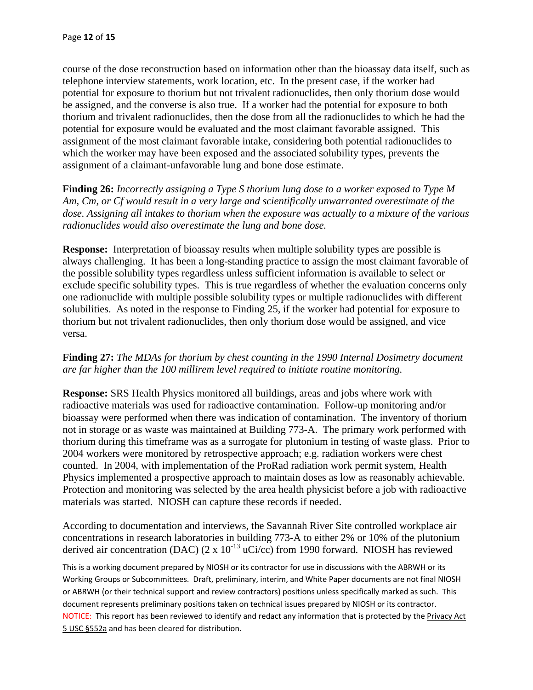course of the dose reconstruction based on information other than the bioassay data itself, such as telephone interview statements, work location, etc. In the present case, if the worker had potential for exposure to thorium but not trivalent radionuclides, then only thorium dose would be assigned, and the converse is also true. If a worker had the potential for exposure to both thorium and trivalent radionuclides, then the dose from all the radionuclides to which he had the potential for exposure would be evaluated and the most claimant favorable assigned. This assignment of the most claimant favorable intake, considering both potential radionuclides to which the worker may have been exposed and the associated solubility types, prevents the assignment of a claimant-unfavorable lung and bone dose estimate.

**Finding 26:** *Incorrectly assigning a Type S thorium lung dose to a worker exposed to Type M Am, Cm, or Cf would result in a very large and scientifically unwarranted overestimate of the dose. Assigning all intakes to thorium when the exposure was actually to a mixture of the various radionuclides would also overestimate the lung and bone dose.* 

**Response:** Interpretation of bioassay results when multiple solubility types are possible is always challenging. It has been a long-standing practice to assign the most claimant favorable of the possible solubility types regardless unless sufficient information is available to select or exclude specific solubility types. This is true regardless of whether the evaluation concerns only one radionuclide with multiple possible solubility types or multiple radionuclides with different solubilities. As noted in the response to Finding 25, if the worker had potential for exposure to thorium but not trivalent radionuclides, then only thorium dose would be assigned, and vice versa.

# **Finding 27:** *The MDAs for thorium by chest counting in the 1990 Internal Dosimetry document are far higher than the 100 millirem level required to initiate routine monitoring.*

**Response:** SRS Health Physics monitored all buildings, areas and jobs where work with radioactive materials was used for radioactive contamination. Follow-up monitoring and/or bioassay were performed when there was indication of contamination. The inventory of thorium not in storage or as waste was maintained at Building 773-A. The primary work performed with thorium during this timeframe was as a surrogate for plutonium in testing of waste glass. Prior to 2004 workers were monitored by retrospective approach; e.g. radiation workers were chest counted. In 2004, with implementation of the ProRad radiation work permit system, Health Physics implemented a prospective approach to maintain doses as low as reasonably achievable. Protection and monitoring was selected by the area health physicist before a job with radioactive materials was started. NIOSH can capture these records if needed.

According to documentation and interviews, the Savannah River Site controlled workplace air concentrations in research laboratories in building 773-A to either 2% or 10% of the plutonium derived air concentration (DAC) (2 x  $10^{-13}$  uCi/cc) from 1990 forward. NIOSH has reviewed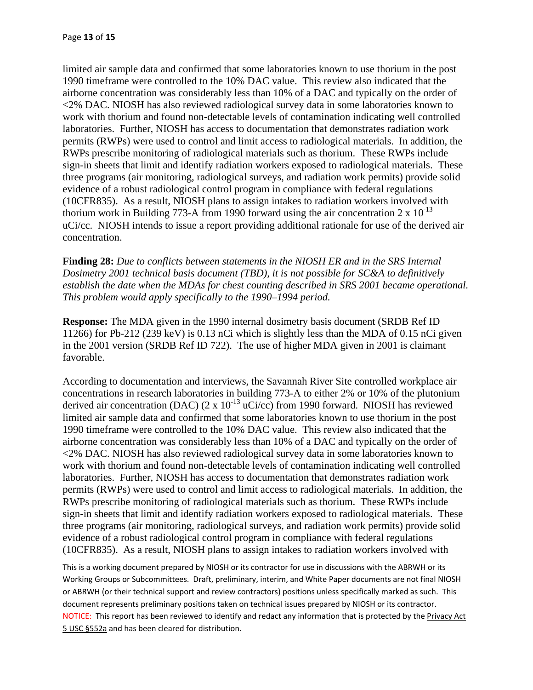limited air sample data and confirmed that some laboratories known to use thorium in the post 1990 timeframe were controlled to the 10% DAC value. This review also indicated that the airborne concentration was considerably less than 10% of a DAC and typically on the order of <2% DAC. NIOSH has also reviewed radiological survey data in some laboratories known to work with thorium and found non-detectable levels of contamination indicating well controlled laboratories. Further, NIOSH has access to documentation that demonstrates radiation work permits (RWPs) were used to control and limit access to radiological materials. In addition, the RWPs prescribe monitoring of radiological materials such as thorium. These RWPs include sign-in sheets that limit and identify radiation workers exposed to radiological materials. These three programs (air monitoring, radiological surveys, and radiation work permits) provide solid evidence of a robust radiological control program in compliance with federal regulations (10CFR835). As a result, NIOSH plans to assign intakes to radiation workers involved with thorium work in Building 773-A from 1990 forward using the air concentration  $2 \times 10^{-13}$ uCi/cc. NIOSH intends to issue a report providing additional rationale for use of the derived air concentration.

**Finding 28:** *Due to conflicts between statements in the NIOSH ER and in the SRS Internal Dosimetry 2001 technical basis document (TBD), it is not possible for SC&A to definitively establish the date when the MDAs for chest counting described in SRS 2001 became operational. This problem would apply specifically to the 1990–1994 period.* 

**Response:** The MDA given in the 1990 internal dosimetry basis document (SRDB Ref ID 11266) for Pb-212 (239 keV) is 0.13 nCi which is slightly less than the MDA of 0.15 nCi given in the 2001 version (SRDB Ref ID 722). The use of higher MDA given in 2001 is claimant favorable.

According to documentation and interviews, the Savannah River Site controlled workplace air concentrations in research laboratories in building 773-A to either 2% or 10% of the plutonium derived air concentration (DAC) (2 x  $10^{-13}$  uCi/cc) from 1990 forward. NIOSH has reviewed limited air sample data and confirmed that some laboratories known to use thorium in the post 1990 timeframe were controlled to the 10% DAC value. This review also indicated that the airborne concentration was considerably less than 10% of a DAC and typically on the order of <2% DAC. NIOSH has also reviewed radiological survey data in some laboratories known to work with thorium and found non-detectable levels of contamination indicating well controlled laboratories. Further, NIOSH has access to documentation that demonstrates radiation work permits (RWPs) were used to control and limit access to radiological materials. In addition, the RWPs prescribe monitoring of radiological materials such as thorium. These RWPs include sign-in sheets that limit and identify radiation workers exposed to radiological materials. These three programs (air monitoring, radiological surveys, and radiation work permits) provide solid evidence of a robust radiological control program in compliance with federal regulations (10CFR835). As a result, NIOSH plans to assign intakes to radiation workers involved with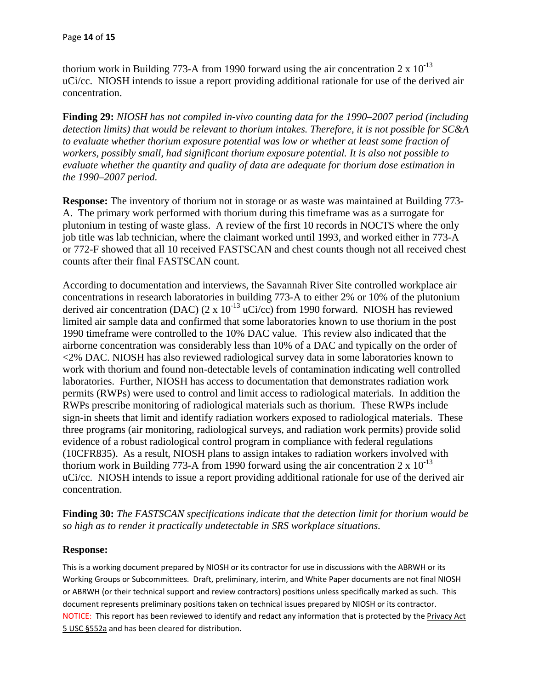thorium work in Building 773-A from 1990 forward using the air concentration  $2 \times 10^{-13}$ uCi/cc. NIOSH intends to issue a report providing additional rationale for use of the derived air concentration.

**Finding 29:** *NIOSH has not compiled in-vivo counting data for the 1990–2007 period (including detection limits) that would be relevant to thorium intakes. Therefore, it is not possible for SC&A to evaluate whether thorium exposure potential was low or whether at least some fraction of workers, possibly small, had significant thorium exposure potential. It is also not possible to evaluate whether the quantity and quality of data are adequate for thorium dose estimation in the 1990–2007 period.* 

**Response:** The inventory of thorium not in storage or as waste was maintained at Building 773 A. The primary work performed with thorium during this timeframe was as a surrogate for plutonium in testing of waste glass. A review of the first 10 records in NOCTS where the only job title was lab technician, where the claimant worked until 1993, and worked either in 773-A or 772-F showed that all 10 received FASTSCAN and chest counts though not all received chest counts after their final FASTSCAN count.

According to documentation and interviews, the Savannah River Site controlled workplace air concentrations in research laboratories in building 773-A to either 2% or 10% of the plutonium derived air concentration (DAC) (2 x  $10^{-13}$  uCi/cc) from 1990 forward. NIOSH has reviewed limited air sample data and confirmed that some laboratories known to use thorium in the post 1990 timeframe were controlled to the 10% DAC value. This review also indicated that the airborne concentration was considerably less than 10% of a DAC and typically on the order of <2% DAC. NIOSH has also reviewed radiological survey data in some laboratories known to work with thorium and found non-detectable levels of contamination indicating well controlled laboratories. Further, NIOSH has access to documentation that demonstrates radiation work permits (RWPs) were used to control and limit access to radiological materials. In addition the RWPs prescribe monitoring of radiological materials such as thorium. These RWPs include sign-in sheets that limit and identify radiation workers exposed to radiological materials. These three programs (air monitoring, radiological surveys, and radiation work permits) provide solid evidence of a robust radiological control program in compliance with federal regulations (10CFR835). As a result, NIOSH plans to assign intakes to radiation workers involved with thorium work in Building 773-A from 1990 forward using the air concentration  $2 \times 10^{-13}$ uCi/cc. NIOSH intends to issue a report providing additional rationale for use of the derived air concentration.

**Finding 30:** *The FASTSCAN specifications indicate that the detection limit for thorium would be so high as to render it practically undetectable in SRS workplace situations.* 

#### **Response:**